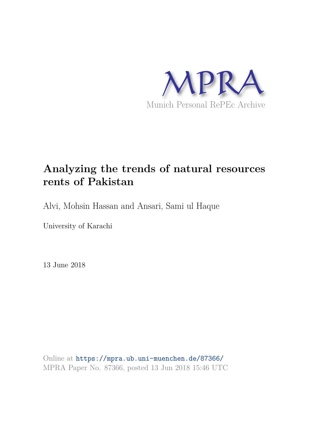

# **Analyzing the trends of natural resources rents of Pakistan**

Alvi, Mohsin Hassan and Ansari, Sami ul Haque

University of Karachi

13 June 2018

Online at https://mpra.ub.uni-muenchen.de/87366/ MPRA Paper No. 87366, posted 13 Jun 2018 15:46 UTC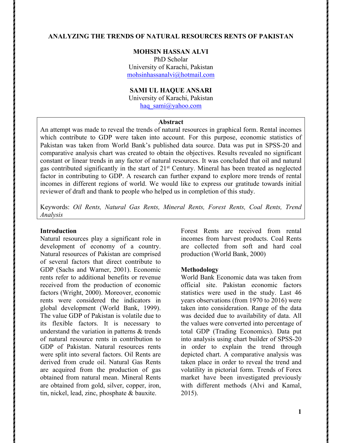# **ANALYZING THE TRENDS OF NATURAL RESOURCES RENTS OF PAKISTAN**

## **MOHSIN HASSAN ALVI**

PhD Scholar University of Karachi, Pakistan mohsinhassanalvi@hotmail.com

# **SAMI UL HAQUE ANSARI**

University of Karachi, Pakistan

haq sami@yahoo.com

### **Abstract**

An attempt was made to reveal the trends of natural resources in graphical form. Rental incomes which contribute to GDP were taken into account. For this purpose, economic statistics of Pakistan was taken from World Bank's published data source. Data was put in SPSS-20 and comparative analysis chart was created to obtain the objectives. Results revealed no significant constant or linear trends in any factor of natural resources. It was concluded that oil and natural gas contributed significantly in the start of 21st Century. Mineral has been treated as neglected factor in contributing to GDP. A research can further expand to explore more trends of rental incomes in different regions of world. We would like to express our gratitude towards initial reviewer of draft and thank to people who helped us in completion of this study.

Keywords: *Oil Rents, Natural Gas Rents, Mineral Rents, Forest Rents, Coal Rents, Trend Analysis*

#### **Introduction**

Natural resources play a significant role in development of economy of a country. Natural resources of Pakistan are comprised of several factors that direct contribute to GDP (Sachs and Warner, 2001). Economic rents refer to additional benefits or revenue received from the production of economic factors (Wright, 2000). Moreover, economic rents were considered the indicators in global development (World Bank, 1999). The value GDP of Pakistan is volatile due to its flexible factors. It is necessary to understand the variation in patterns & trends of natural resource rents in contribution to GDP of Pakistan. Natural resources rents were split into several factors. Oil Rents are derived from crude oil. Natural Gas Rents are acquired from the production of gas obtained from natural mean. Mineral Rents are obtained from gold, silver, copper, iron, tin, nickel, lead, zinc, phosphate & bauxite.

Forest Rents are received from rental incomes from harvest products. Coal Rents are collected from soft and hard coal production (World Bank, 2000)

#### **Methodology**

World Bank Economic data was taken from official site. Pakistan economic factors statistics were used in the study. Last 46 years observations (from 1970 to 2016) were taken into consideration. Range of the data was decided due to availability of data. All the values were converted into percentage of total GDP (Trading Economics). Data put into analysis using chart builder of SPSS-20 in order to explain the trend through depicted chart. A comparative analysis was taken place in order to reveal the trend and volatility in pictorial form. Trends of Forex market have been investigated previously with different methods (Alvi and Kamal, 2015).